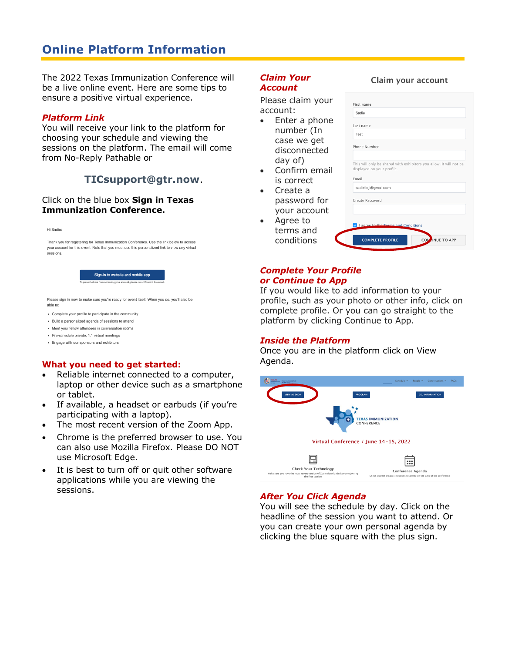# **Online Platform Information**

The 2022 Texas Immunization Conference will be a live online event. Here are some tips to ensure a positive virtual experience.

#### *Platform Link*

You will receive your link to the platform for choosing your schedule and viewing the sessions on the platform. The email will come from No-Reply Pathable or

## **TICsupport@gtr.now**.

#### Click on the blue box **Sign in Texas Immunization Conference.**

Hi Sadie:

Thank you for registering for Texas Immunization Conference. Use the link below to access your account for this event. Note that you must use this personalized link to view any virtual sessions.

Sign-in to website and mobile app

Please sign in now to make sure you're ready for event itself. When you do, you'll also be

- Complete your profile to participate in the community
- Build a personalized agenda of sessions to attend
- . Meet your fellow attendees in conversation rooms
- Pre-schedule private, 1:1 virtual meetings - Engage with our sponsors and exhibitors

- **What you need to get started:**  Reliable internet connected to a computer, laptop or other device such as a smartphone or tablet.
- If available, a headset or earbuds (if you're participating with a laptop).
- The most recent version of the Zoom App.
- Chrome is the preferred browser to use. You can also use Mozilla Firefox. Please DO NOT use Microsoft Edge.
- It is best to turn off or quit other software applications while you are viewing the sessions.

#### *Claim Your Account*

Please claim your account:

- Enter a phone number (In case we get disconnected day of)
- Confirm email is correct
- Create a password for your account
- Agree to terms and conditions

| Last name<br>Test<br>Phone Number<br>This will only be shared with exhibitors you allow. It will not be<br>displayed on your profile.<br>Email<br>sadielidji@gmail.com<br>Create Password |  |
|-------------------------------------------------------------------------------------------------------------------------------------------------------------------------------------------|--|
|                                                                                                                                                                                           |  |
|                                                                                                                                                                                           |  |
|                                                                                                                                                                                           |  |
|                                                                                                                                                                                           |  |
|                                                                                                                                                                                           |  |
|                                                                                                                                                                                           |  |
|                                                                                                                                                                                           |  |
|                                                                                                                                                                                           |  |
|                                                                                                                                                                                           |  |
| V   agree to the Terms and Conditions                                                                                                                                                     |  |

#### *Complete Your Profile or Continue to App*

If you would like to add information to your profile, such as your photo or other info, click on complete profile. Or you can go straight to the platform by clicking Continue to App.

### *Inside the Platform*

Once you are in the platform click on View Agenda.



### *After You Click Agenda*

You will see the schedule by day. Click on the headline of the session you want to attend. Or you can create your own personal agenda by clicking the blue square with the plus sign.

#### Claim your account